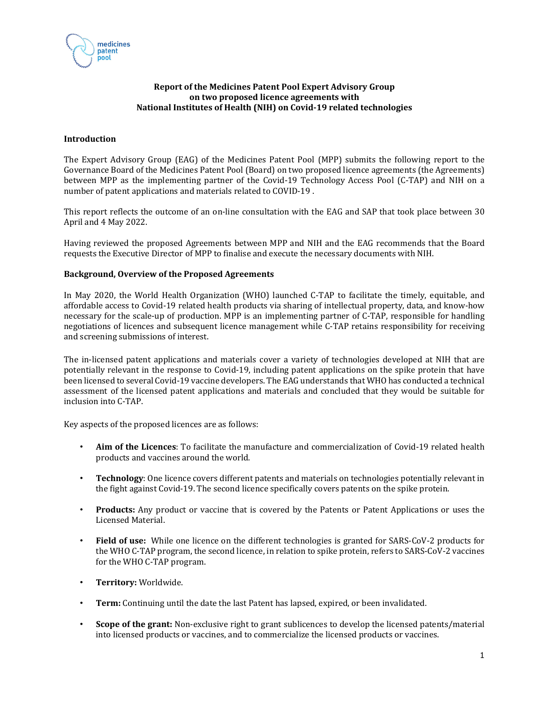

# **Report of the Medicines Patent Pool Expert Advisory Group on two proposed licence agreements with National Institutes of Health (NIH) on Covid‐19 related technologies**

# **Introduction**

The Expert Advisory Group (EAG) of the Medicines Patent Pool (MPP) submits the following report to the Governance Board of the Medicines Patent Pool (Board) on two proposed licence agreements (the Agreements) between MPP as the implementing partner of the Covid-19 Technology Access Pool (C-TAP) and NIH on a number of patent applications and materials related to COVID-19 .

This report reflects the outcome of an on-line consultation with the EAG and SAP that took place between 30 April and 4 May 2022.

Having reviewed the proposed Agreements between MPP and NIH and the EAG recommends that the Board requests the Executive Director of MPP to finalise and execute the necessary documents with NIH.

# **Background, Overview of the Proposed Agreements**

In May 2020, the World Health Organization (WHO) launched C-TAP to facilitate the timely, equitable, and affordable access to Covid-19 related health products via sharing of intellectual property, data, and know-how necessary for the scale-up of production. MPP is an implementing partner of C-TAP, responsible for handling negotiations of licences and subsequent licence management while C-TAP retains responsibility for receiving and screening submissions of interest.

The in-licensed patent applications and materials cover a variety of technologies developed at NIH that are potentially relevant in the response to Covid-19, including patent applications on the spike protein that have been licensed to several Covid-19 vaccine developers. The EAG understands that WHO has conducted a technical assessment of the licensed patent applications and materials and concluded that they would be suitable for inclusion into C-TAP.

Key aspects of the proposed licences are as follows:

- **Aim of the Licences**: To facilitate the manufacture and commercialization of Covid-19 related health products and vaccines around the world.
- **Technology**: One licence covers different patents and materials on technologies potentially relevant in the fight against Covid-19. The second licence specifically covers patents on the spike protein.
- **Products:** Any product or vaccine that is covered by the Patents or Patent Applications or uses the Licensed Material.
- **Field of use:** While one licence on the different technologies is granted for SARS-CoV-2 products for the WHO C-TAP program, the second licence, in relation to spike protein, refers to SARS-CoV-2 vaccines for the WHO C-TAP program.
- **Territory:** Worldwide.
- **Term:** Continuing until the date the last Patent has lapsed, expired, or been invalidated.
- **Scope of the grant:** Non-exclusive right to grant sublicences to develop the licensed patents/material into licensed products or vaccines, and to commercialize the licensed products or vaccines.